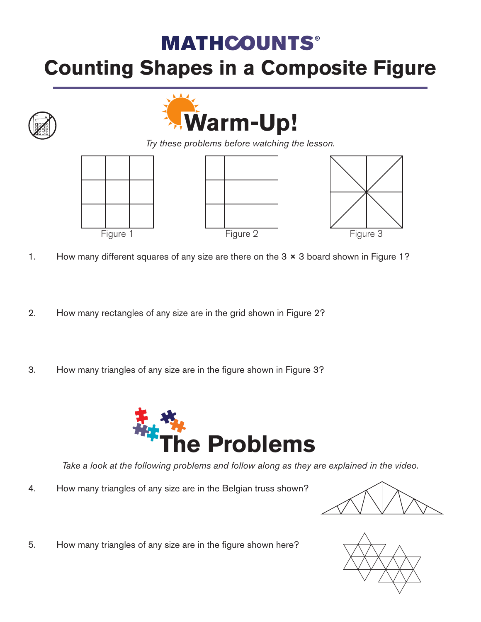## **MATHCOUNTS®**

## **Counting Shapes in a Composite Figure**





*Try these problems before watching the lesson.*







- 1. How many different squares of any size are there on the 3  $\times$  3 board shown in Figure 1?
- 2. How many rectangles of any size are in the grid shown in Figure 2?
- 3. How many triangles of any size are in the figure shown in Figure 3?



*Take a look at the following problems and follow along as they are explained in the video.*

4. How many triangles of any size are in the Belgian truss shown?



5. How many triangles of any size are in the figure shown here?